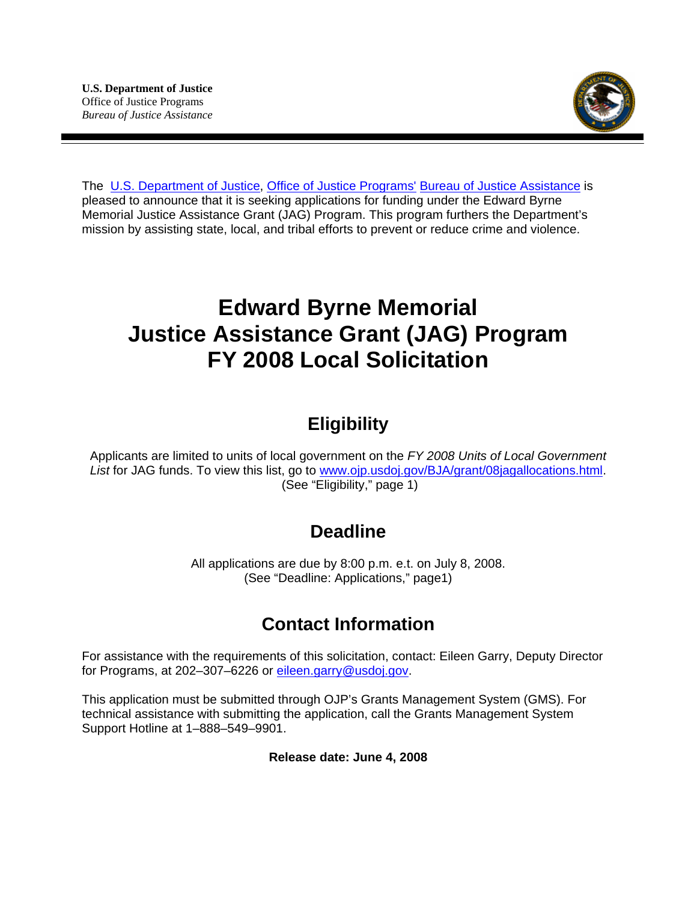

The [U.S. Department of Justice,](http://www.usdoj.gov/) [Office of Justice Programs'](http://www.ojp.usdoj.gov/) [Bureau of Justice Assistance](http://www.ojp.usdoj.gov/BJA/) is pleased to announce that it is seeking applications for funding under the Edward Byrne Memorial Justice Assistance Grant (JAG) Program. This program furthers the Department's mission by assisting state, local, and tribal efforts to prevent or reduce crime and violence.

# **Edward Byrne Memorial Justice Assistance Grant (JAG) Program FY 2008 Local Solicitation**

## **Eligibility**

Applicants are limited to units of local government on the *FY 2008 Units of Local Government List* for JAG funds. To view this list, go to [www.ojp.usdoj.gov/BJA/grant/08jagallocations.html.](http://www.ojp.usdoj.gov/BJA/grant/08jagallocations.html) (See "Eligibility," page 1)

## **Deadline**

All applications are due by 8:00 p.m. e.t. on July 8, 2008. (See "Deadline: Applications," page1)

## **Contact Information**

For assistance with the requirements of this solicitation, contact: Eileen Garry, Deputy Director for Programs, at 202-307-6226 or [eileen.garry@usdoj.gov.](mailto:eileen.garry@usdoj.gov)

This application must be submitted through OJP's Grants Management System (GMS). For technical assistance with submitting the application, call the Grants Management System Support Hotline at 1–888–549–9901.

**Release date: June 4, 2008**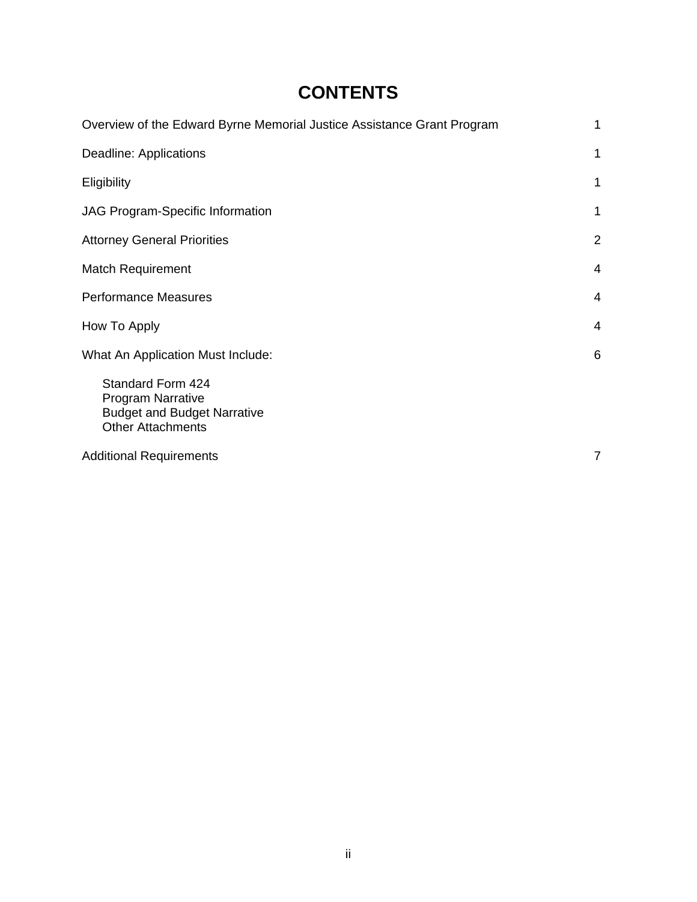## **CONTENTS**

| Overview of the Edward Byrne Memorial Justice Assistance Grant Program                                          | 1              |
|-----------------------------------------------------------------------------------------------------------------|----------------|
| Deadline: Applications                                                                                          | 1              |
| Eligibility                                                                                                     | 1              |
| <b>JAG Program-Specific Information</b>                                                                         | 1              |
| <b>Attorney General Priorities</b>                                                                              | $\overline{2}$ |
| <b>Match Requirement</b>                                                                                        | 4              |
| <b>Performance Measures</b>                                                                                     | 4              |
| How To Apply                                                                                                    | 4              |
| What An Application Must Include:                                                                               | 6              |
| Standard Form 424<br><b>Program Narrative</b><br><b>Budget and Budget Narrative</b><br><b>Other Attachments</b> |                |
| <b>Additional Requirements</b>                                                                                  | 7              |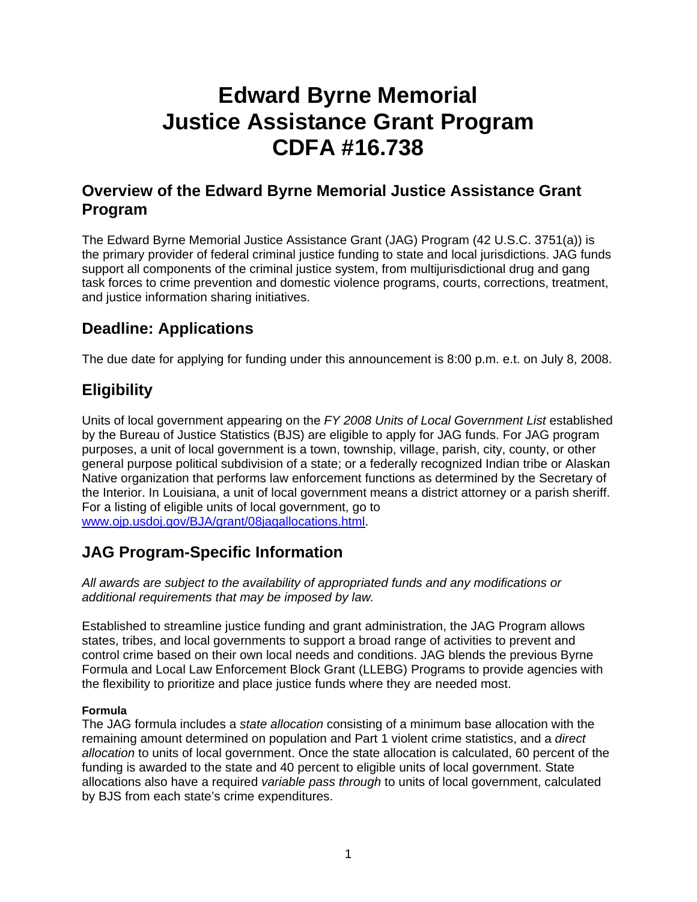# **Edward Byrne Memorial Justice Assistance Grant Program CDFA #16.738**

## **Overview of the Edward Byrne Memorial Justice Assistance Grant Program**

The Edward Byrne Memorial Justice Assistance Grant (JAG) Program (42 U.S.C. 3751(a)) is the primary provider of federal criminal justice funding to state and local jurisdictions. JAG funds support all components of the criminal justice system, from multijurisdictional drug and gang task forces to crime prevention and domestic violence programs, courts, corrections, treatment, and justice information sharing initiatives.

## **Deadline: Applications**

The due date for applying for funding under this announcement is 8:00 p.m. e.t. on July 8, 2008.

## **Eligibility**

Units of local government appearing on the *FY 2008 Units of Local Government List* established by the Bureau of Justice Statistics (BJS) are eligible to apply for JAG funds. For JAG program purposes, a unit of local government is a town, township, village, parish, city, county, or other general purpose political subdivision of a state; or a federally recognized Indian tribe or Alaskan Native organization that performs law enforcement functions as determined by the Secretary of the Interior. In Louisiana, a unit of local government means a district attorney or a parish sheriff. For a listing of eligible units of local government, go to [www.ojp.usdoj.gov/BJA/grant/08jagallocations.html.](http://www.ojp.usdoj.gov/BJA/grant/08jagallocations.html)

## **JAG Program-Specific Information**

*All awards are subject to the availability of appropriated funds and any modifications or additional requirements that may be imposed by law.* 

Established to streamline justice funding and grant administration, the JAG Program allows states, tribes, and local governments to support a broad range of activities to prevent and control crime based on their own local needs and conditions. JAG blends the previous Byrne Formula and Local Law Enforcement Block Grant (LLEBG) Programs to provide agencies with the flexibility to prioritize and place justice funds where they are needed most.

#### **Formula**

The JAG formula includes a *state allocation* consisting of a minimum base allocation with the remaining amount determined on population and Part 1 violent crime statistics, and a *direct allocation* to units of local government. Once the state allocation is calculated, 60 percent of the funding is awarded to the state and 40 percent to eligible units of local government. State allocations also have a required *variable pass through* to units of local government, calculated by BJS from each state's crime expenditures.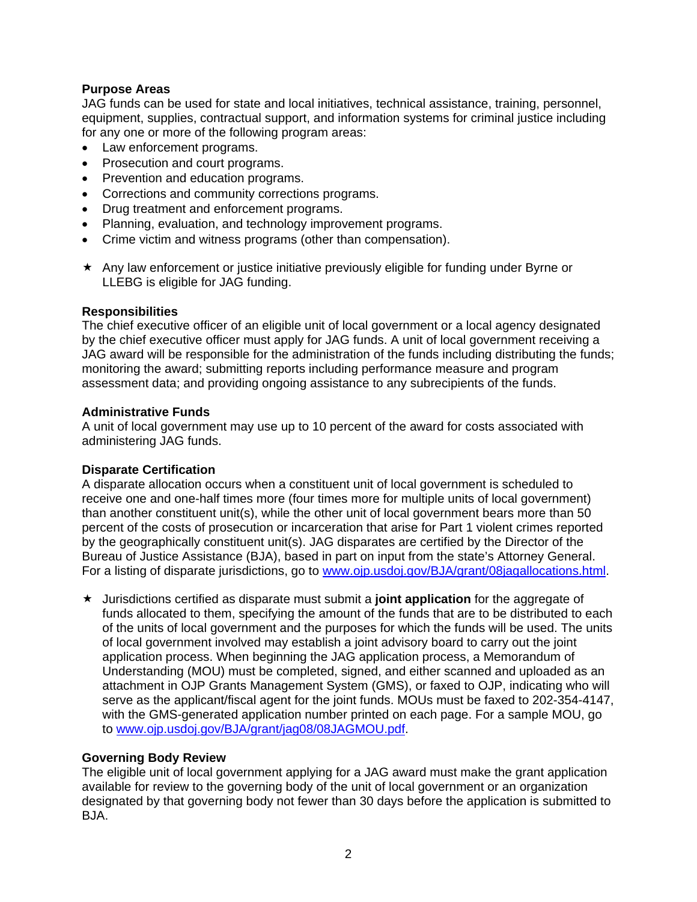#### **Purpose Areas**

JAG funds can be used for state and local initiatives, technical assistance, training, personnel, equipment, supplies, contractual support, and information systems for criminal justice including for any one or more of the following program areas:

- Law enforcement programs.
- Prosecution and court programs.
- Prevention and education programs.
- Corrections and community corrections programs.
- Drug treatment and enforcement programs.
- Planning, evaluation, and technology improvement programs.
- Crime victim and witness programs (other than compensation).
- $\star$  Any law enforcement or justice initiative previously eligible for funding under Byrne or LLEBG is eligible for JAG funding.

#### **Responsibilities**

The chief executive officer of an eligible unit of local government or a local agency designated by the chief executive officer must apply for JAG funds. A unit of local government receiving a JAG award will be responsible for the administration of the funds including distributing the funds; monitoring the award; submitting reports including performance measure and program assessment data; and providing ongoing assistance to any subrecipients of the funds.

#### **Administrative Funds**

A unit of local government may use up to 10 percent of the award for costs associated with administering JAG funds.

#### **Disparate Certification**

A disparate allocation occurs when a constituent unit of local government is scheduled to receive one and one-half times more (four times more for multiple units of local government) than another constituent unit(s), while the other unit of local government bears more than 50 percent of the costs of prosecution or incarceration that arise for Part 1 violent crimes reported by the geographically constituent unit(s). JAG disparates are certified by the Director of the Bureau of Justice Assistance (BJA), based in part on input from the state's Attorney General. For a listing of disparate jurisdictions, go to [www.ojp.usdoj.gov/BJA/grant/08jagallocations.html](http://www.ojp.usdoj.gov/BJA/grant/08jagallocations.html).

 Jurisdictions certified as disparate must submit a **joint application** for the aggregate of funds allocated to them, specifying the amount of the funds that are to be distributed to each of the units of local government and the purposes for which the funds will be used. The units of local government involved may establish a joint advisory board to carry out the joint application process. When beginning the JAG application process, a Memorandum of Understanding (MOU) must be completed, signed, and either scanned and uploaded as an attachment in OJP Grants Management System (GMS), or faxed to OJP, indicating who will serve as the applicant/fiscal agent for the joint funds. MOUs must be faxed to 202-354-4147, with the GMS-generated application number printed on each page. For a sample MOU, go to [www.ojp.usdoj.gov/BJA/grant/jag08/08JAGMOU.pdf.](http://www.ojp.usdoj.gov/BJA/grant/jag08/08JAGMOU.pdf)

#### **Governing Body Review**

The eligible unit of local government applying for a JAG award must make the grant application available for review to the governing body of the unit of local government or an organization designated by that governing body not fewer than 30 days before the application is submitted to BJA.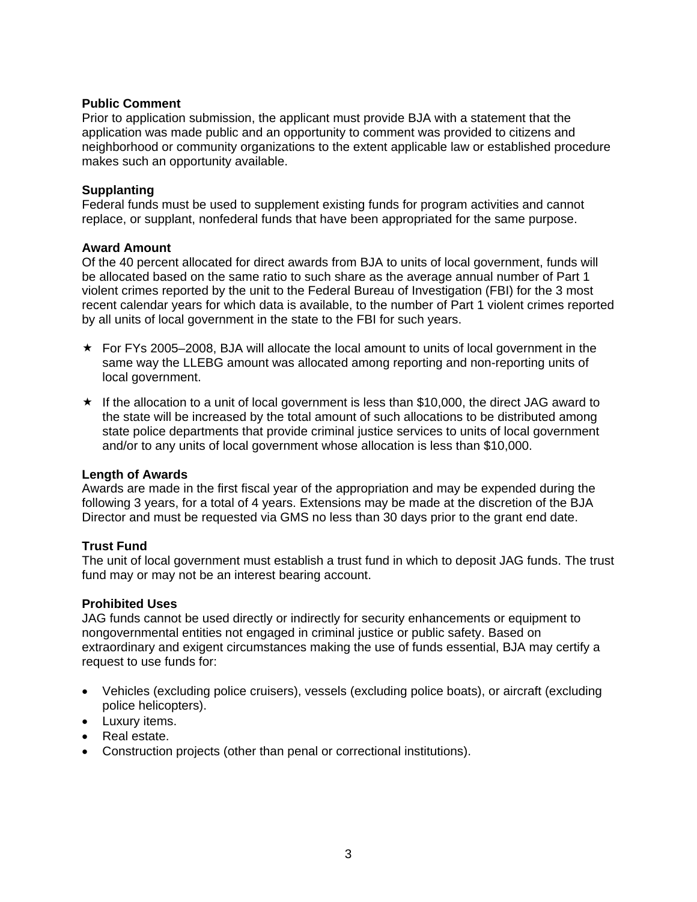#### **Public Comment**

Prior to application submission, the applicant must provide BJA with a statement that the application was made public and an opportunity to comment was provided to citizens and neighborhood or community organizations to the extent applicable law or established procedure makes such an opportunity available.

#### **Supplanting**

Federal funds must be used to supplement existing funds for program activities and cannot replace, or supplant, nonfederal funds that have been appropriated for the same purpose.

#### **Award Amount**

Of the 40 percent allocated for direct awards from BJA to units of local government, funds will be allocated based on the same ratio to such share as the average annual number of Part 1 violent crimes reported by the unit to the Federal Bureau of Investigation (FBI) for the 3 most recent calendar years for which data is available, to the number of Part 1 violent crimes reported by all units of local government in the state to the FBI for such years.

- $\star$  For FYs 2005–2008, BJA will allocate the local amount to units of local government in the same way the LLEBG amount was allocated among reporting and non-reporting units of local government.
- $\star$  If the allocation to a unit of local government is less than \$10,000, the direct JAG award to the state will be increased by the total amount of such allocations to be distributed among state police departments that provide criminal justice services to units of local government and/or to any units of local government whose allocation is less than \$10,000.

#### **Length of Awards**

Awards are made in the first fiscal year of the appropriation and may be expended during the following 3 years, for a total of 4 years. Extensions may be made at the discretion of the BJA Director and must be requested via GMS no less than 30 days prior to the grant end date.

#### **Trust Fund**

The unit of local government must establish a trust fund in which to deposit JAG funds. The trust fund may or may not be an interest bearing account.

#### **Prohibited Uses**

JAG funds cannot be used directly or indirectly for security enhancements or equipment to nongovernmental entities not engaged in criminal justice or public safety. Based on extraordinary and exigent circumstances making the use of funds essential, BJA may certify a request to use funds for:

- Vehicles (excluding police cruisers), vessels (excluding police boats), or aircraft (excluding police helicopters).
- Luxury items.
- Real estate.
- Construction projects (other than penal or correctional institutions).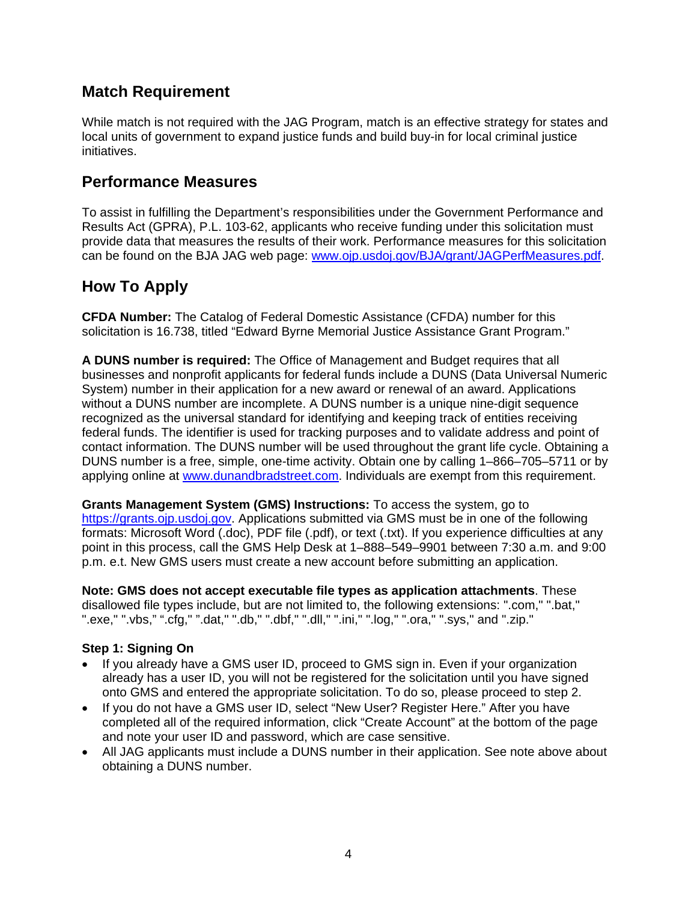### **Match Requirement**

While match is not required with the JAG Program, match is an effective strategy for states and local units of government to expand justice funds and build buy-in for local criminal justice initiatives.

### **Performance Measures**

To assist in fulfilling the Department's responsibilities under the Government Performance and Results Act (GPRA), P.L. 103-62, applicants who receive funding under this solicitation must provide data that measures the results of their work. Performance measures for this solicitation can be found on the BJA JAG web page: [www.ojp.usdoj.gov/BJA/grant/JAGPerfMeasures.pdf](http://www.ojp.usdoj.gov/BJA/grant/JAGPerfMeasures.pdf).

## **How To Apply**

**CFDA Number:** The Catalog of Federal Domestic Assistance (CFDA) number for this solicitation is 16.738, titled "Edward Byrne Memorial Justice Assistance Grant Program."

**A DUNS number is required:** The Office of Management and Budget requires that all businesses and nonprofit applicants for federal funds include a DUNS (Data Universal Numeric System) number in their application for a new award or renewal of an award. Applications without a DUNS number are incomplete. A DUNS number is a unique nine-digit sequence recognized as the universal standard for identifying and keeping track of entities receiving federal funds. The identifier is used for tracking purposes and to validate address and point of contact information. The DUNS number will be used throughout the grant life cycle. Obtaining a DUNS number is a free, simple, one-time activity. Obtain one by calling 1–866–705–5711 or by applying online at [www.dunandbradstreet.com.](http://www.dunandbradstreet.com/) Individuals are exempt from this requirement.

**Grants Management System (GMS) Instructions:** To access the system, go to [https://grants.ojp.usdoj.gov](https://grants.ojp.usdoj.gov/). Applications submitted via GMS must be in one of the following formats: Microsoft Word (.doc), PDF file (.pdf), or text (.txt). If you experience difficulties at any point in this process, call the GMS Help Desk at 1–888–549–9901 between 7:30 a.m. and 9:00 p.m. e.t. New GMS users must create a new account before submitting an application.

**Note: GMS does not accept executable file types as application attachments**. These disallowed file types include, but are not limited to, the following extensions: ".com," ".bat," ".exe," ".vbs," ".cfg," ".dat," ".db," ".dbf," ".dll," ".ini," ".log," ".ora," ".sys," and ".zip."

#### **Step 1: Signing On**

- If you already have a GMS user ID, proceed to GMS sign in. Even if your organization already has a user ID, you will not be registered for the solicitation until you have signed onto GMS and entered the appropriate solicitation. To do so, please proceed to step 2.
- If you do not have a GMS user ID, select "New User? Register Here." After you have completed all of the required information, click "Create Account" at the bottom of the page and note your user ID and password, which are case sensitive.
- All JAG applicants must include a DUNS number in their application. See note above about obtaining a DUNS number.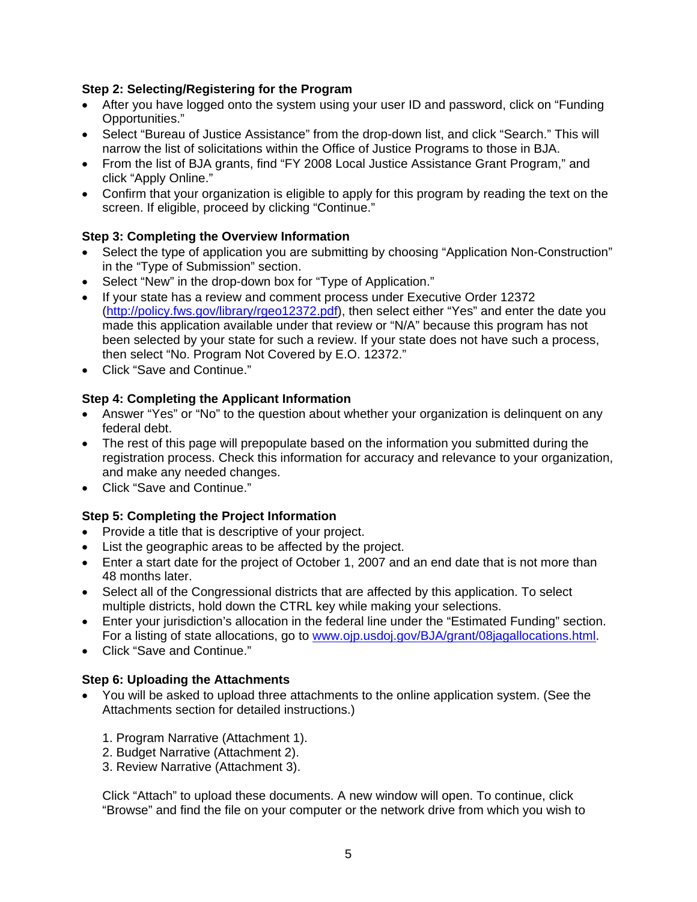#### **Step 2: Selecting/Registering for the Program**

- After you have logged onto the system using your user ID and password, click on "Funding" Opportunities."
- Select "Bureau of Justice Assistance" from the drop-down list, and click "Search." This will narrow the list of solicitations within the Office of Justice Programs to those in BJA.
- From the list of BJA grants, find "FY 2008 Local Justice Assistance Grant Program," and click "Apply Online."
- Confirm that your organization is eligible to apply for this program by reading the text on the screen. If eligible, proceed by clicking "Continue."

#### **Step 3: Completing the Overview Information**

- Select the type of application you are submitting by choosing "Application Non-Construction" in the "Type of Submission" section.
- Select "New" in the drop-down box for "Type of Application."
- If your state has a review and comment process under Executive Order 12372 ([http://policy.fws.gov/library/rgeo12372.pdf\)](http://policy.fws.gov/library/rgeo12372.pdf), then select either "Yes" and enter the date you made this application available under that review or "N/A" because this program has not been selected by your state for such a review. If your state does not have such a process, then select "No. Program Not Covered by E.O. 12372."
- Click "Save and Continue."

#### **Step 4: Completing the Applicant Information**

- Answer "Yes" or "No" to the question about whether your organization is delinquent on any federal debt.
- The rest of this page will prepopulate based on the information you submitted during the registration process. Check this information for accuracy and relevance to your organization, and make any needed changes.
- Click "Save and Continue."

#### **Step 5: Completing the Project Information**

- Provide a title that is descriptive of your project.
- List the geographic areas to be affected by the project.
- Enter a start date for the project of October 1, 2007 and an end date that is not more than 48 months later.
- Select all of the Congressional districts that are affected by this application. To select multiple districts, hold down the CTRL key while making your selections.
- Enter your jurisdiction's allocation in the federal line under the "Estimated Funding" section. For a listing of state allocations, go to [www.ojp.usdoj.gov/BJA/grant/08jagallocations.html](http://www.ojp.usdoj.gov/BJA/grant/08jagallocations.html).
- Click "Save and Continue."

#### **Step 6: Uploading the Attachments**

- You will be asked to upload three attachments to the online application system. (See the Attachments section for detailed instructions.)
	- 1. Program Narrative (Attachment 1).
	- 2. Budget Narrative (Attachment 2).
	- 3. Review Narrative (Attachment 3).

Click "Attach" to upload these documents. A new window will open. To continue, click "Browse" and find the file on your computer or the network drive from which you wish to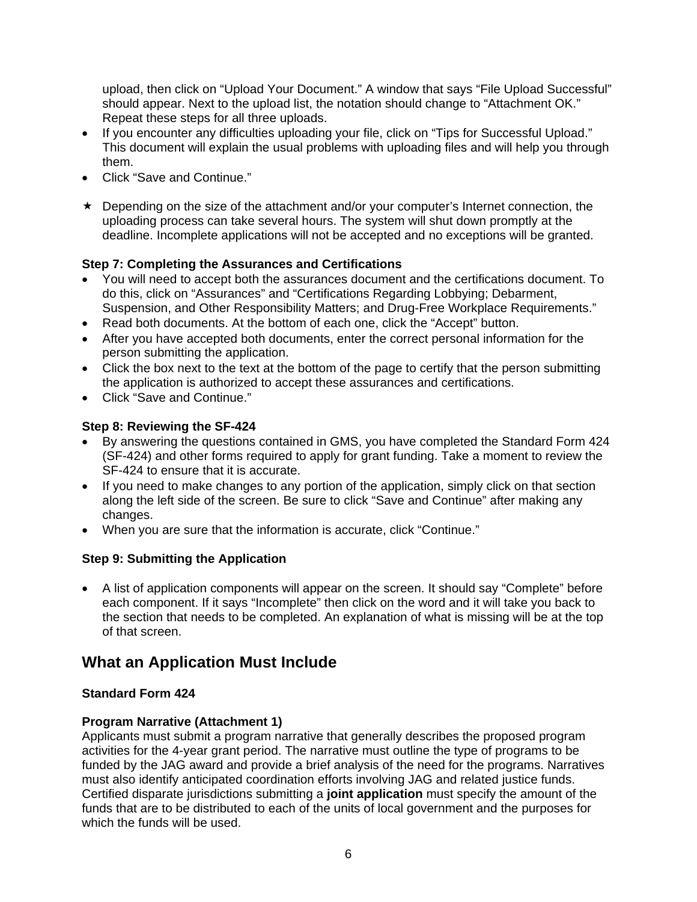upload, then click on "Upload Your Document." A window that says "File Upload Successful" should appear. Next to the upload list, the notation should change to "Attachment OK." Repeat these steps for all three uploads.

- If you encounter any difficulties uploading your file, click on "Tips for Successful Upload." This document will explain the usual problems with uploading files and will help you through them.
- Click "Save and Continue."
- \* Depending on the size of the attachment and/or your computer's Internet connection, the uploading process can take several hours. The system will shut down promptly at the deadline. Incomplete applications will not be accepted and no exceptions will be granted.

#### **Step 7: Completing the Assurances and Certifications**

- You will need to accept both the assurances document and the certifications document. To do this, click on "Assurances" and "Certifications Regarding Lobbying; Debarment, Suspension, and Other Responsibility Matters; and Drug-Free Workplace Requirements."
- Read both documents. At the bottom of each one, click the "Accept" button.
- After you have accepted both documents, enter the correct personal information for the person submitting the application.
- Click the box next to the text at the bottom of the page to certify that the person submitting the application is authorized to accept these assurances and certifications.
- Click "Save and Continue."

#### **Step 8: Reviewing the SF-424**

- By answering the questions contained in GMS, you have completed the Standard Form 424 (SF-424) and other forms required to apply for grant funding. Take a moment to review the SF-424 to ensure that it is accurate.
- If you need to make changes to any portion of the application, simply click on that section along the left side of the screen. Be sure to click "Save and Continue" after making any changes.
- When you are sure that the information is accurate, click "Continue."

#### **Step 9: Submitting the Application**

• A list of application components will appear on the screen. It should say "Complete" before each component. If it says "Incomplete" then click on the word and it will take you back to the section that needs to be completed. An explanation of what is missing will be at the top of that screen.

## **What an Application Must Include**

#### **Standard Form 424**

#### **Program Narrative (Attachment 1)**

Applicants must submit a program narrative that generally describes the proposed program activities for the 4-year grant period. The narrative must outline the type of programs to be funded by the JAG award and provide a brief analysis of the need for the programs. Narratives must also identify anticipated coordination efforts involving JAG and related justice funds. Certified disparate jurisdictions submitting a **joint application** must specify the amount of the funds that are to be distributed to each of the units of local government and the purposes for which the funds will be used.